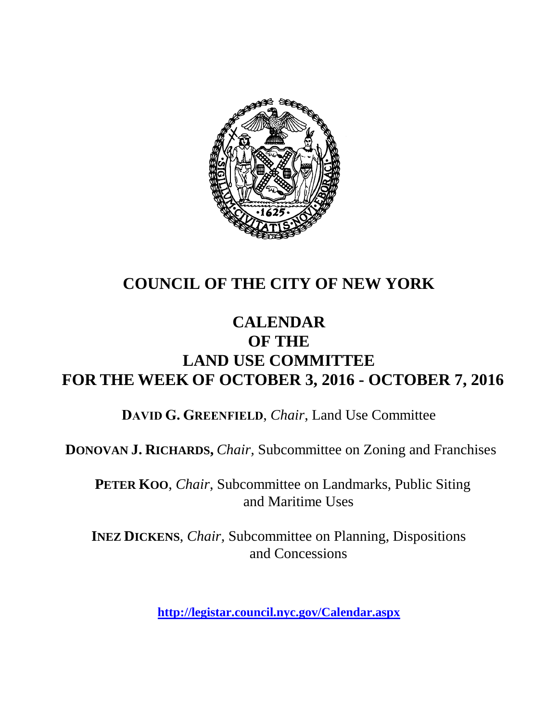

# **COUNCIL OF THE CITY OF NEW YORK**

# **CALENDAR OF THE LAND USE COMMITTEE FOR THE WEEK OF OCTOBER 3, 2016 - OCTOBER 7, 2016**

**DAVID G. GREENFIELD**, *Chair*, Land Use Committee

**DONOVAN J. RICHARDS,** *Chair,* Subcommittee on Zoning and Franchises

**PETER KOO**, *Chair*, Subcommittee on Landmarks, Public Siting and Maritime Uses

**INEZ DICKENS**, *Chair,* Subcommittee on Planning, Dispositions and Concessions

**<http://legistar.council.nyc.gov/Calendar.aspx>**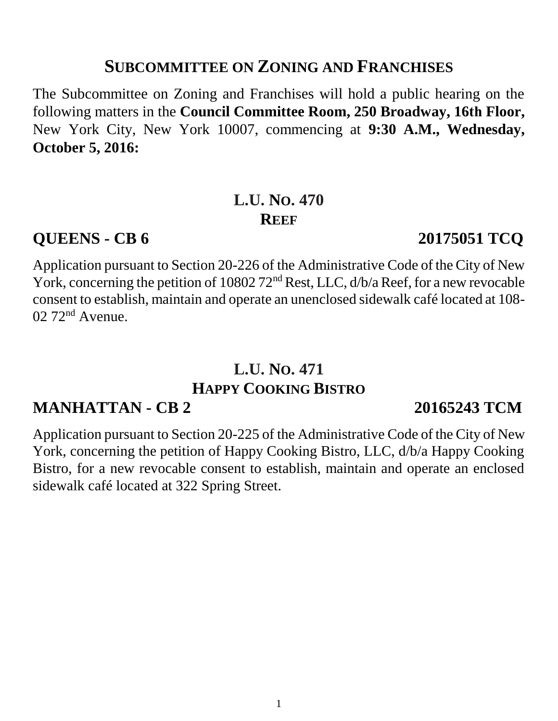### **SUBCOMMITTEE ON ZONING AND FRANCHISES**

The Subcommittee on Zoning and Franchises will hold a public hearing on the following matters in the **Council Committee Room, 250 Broadway, 16th Floor,** New York City, New York 10007, commencing at **9:30 A.M., Wednesday, October 5, 2016:**

# **L.U. NO. 470 REEF**

### **QUEENS - CB 6 20175051 TCQ**

Application pursuant to Section 20-226 of the Administrative Code of the City of New York, concerning the petition of  $1080272<sup>nd</sup>$  Rest, LLC,  $d/b/a$  Reef, for a new revocable consent to establish, maintain and operate an unenclosed sidewalk café located at 108- 02 72nd Avenue.

# **L.U. NO. 471 HAPPY COOKING BISTRO**

# **MANHATTAN - CB 2 20165243 TCM**

Application pursuant to Section 20-225 of the Administrative Code of the City of New York, concerning the petition of Happy Cooking Bistro, LLC, d/b/a Happy Cooking Bistro, for a new revocable consent to establish, maintain and operate an enclosed sidewalk café located at 322 Spring Street.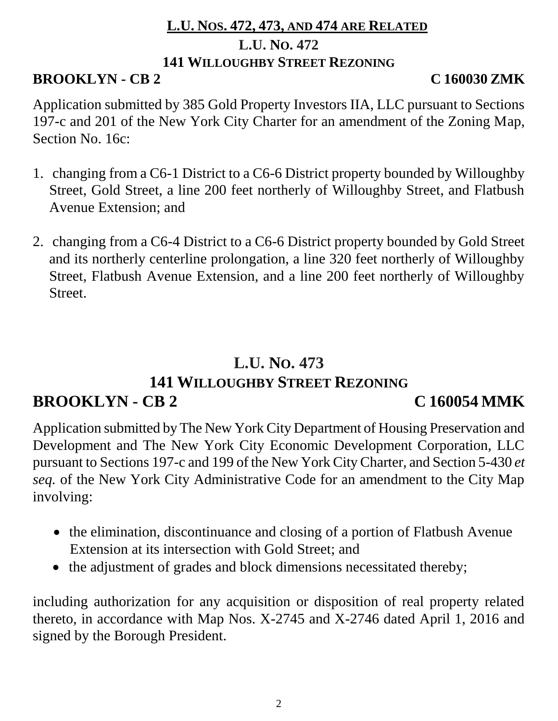### **L.U. NOS. 472, 473, AND 474 ARE RELATED**

### **L.U. NO. 472 141 WILLOUGHBY STREET REZONING**

### **BROOKLYN - CB 2 C 160030 ZMK**

Application submitted by 385 Gold Property Investors IIA, LLC pursuant to Sections 197-c and 201 of the New York City Charter for an amendment of the Zoning Map, Section No. 16c:

- 1. changing from a C6-1 District to a C6-6 District property bounded by Willoughby Street, Gold Street, a line 200 feet northerly of Willoughby Street, and Flatbush Avenue Extension; and
- 2. changing from a C6-4 District to a C6-6 District property bounded by Gold Street and its northerly centerline prolongation, a line 320 feet northerly of Willoughby Street, Flatbush Avenue Extension, and a line 200 feet northerly of Willoughby Street.

# **L.U. NO. 473**

# **141 WILLOUGHBY STREET REZONING**

# **BROOKLYN - CB 2 C 160054 MMK**

Application submitted by The New York City Department of Housing Preservation and Development and The New York City Economic Development Corporation, LLC pursuant to Sections 197-c and 199 of the New York City Charter, and Section 5-430 *et seq.* of the New York City Administrative Code for an amendment to the City Map involving:

- the elimination, discontinuance and closing of a portion of Flatbush Avenue Extension at its intersection with Gold Street; and
- the adjustment of grades and block dimensions necessitated thereby;

including authorization for any acquisition or disposition of real property related thereto, in accordance with Map Nos. X-2745 and X-2746 dated April 1, 2016 and signed by the Borough President.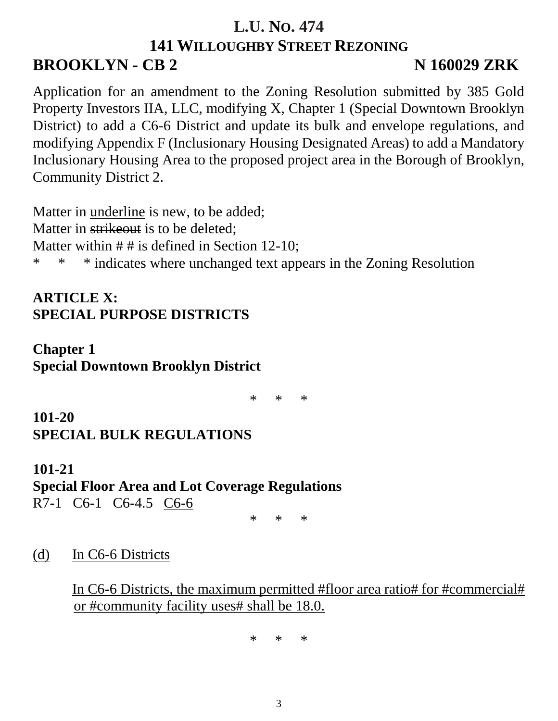# **L.U. NO. 474 141 WILLOUGHBY STREET REZONING BROOKLYN - CB 2** N 160029 ZRK

Application for an amendment to the Zoning Resolution submitted by 385 Gold Property Investors IIA, LLC, modifying X, Chapter 1 (Special Downtown Brooklyn District) to add a C6-6 District and update its bulk and envelope regulations, and modifying Appendix F (Inclusionary Housing Designated Areas) to add a Mandatory Inclusionary Housing Area to the proposed project area in the Borough of Brooklyn, Community District 2.

Matter in underline is new, to be added; Matter in strikeout is to be deleted: Matter within  $# #$  is defined in Section 12-10; \* \* \* indicates where unchanged text appears in the Zoning Resolution

### **ARTICLE X: SPECIAL PURPOSE DISTRICTS**

**Chapter 1 Special Downtown Brooklyn District**

\* \* \*

### **101-20 SPECIAL BULK REGULATIONS**

### **101-21 Special Floor Area and Lot Coverage Regulations** R7-1 C6-1 C6-4.5 C6-6

\* \* \*

(d) In C6-6 Districts

In C6-6 Districts, the maximum permitted #floor area ratio# for #commercial# or #community facility uses# shall be 18.0.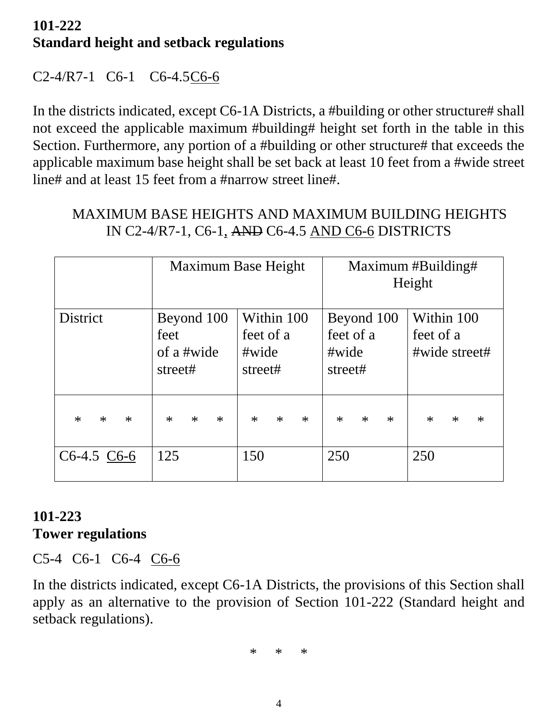# **101-222 Standard height and setback regulations**

C2-4/R7-1 C6-1 C6-4.5C6-6

In the districts indicated, except C6-1A Districts, a #building or other structure# shall not exceed the applicable maximum #building# height set forth in the table in this Section. Furthermore, any portion of a #building or other structure# that exceeds the applicable maximum base height shall be set back at least 10 feet from a #wide street line# and at least 15 feet from a #narrow street line#.

# MAXIMUM BASE HEIGHTS AND MAXIMUM BUILDING HEIGHTS IN C2-4/R7-1, C6-1, AND C6-4.5 AND C6-6 DISTRICTS

|                            | Maximum Base Height                         |                                             | Maximum #Building#<br>Height                |                                          |
|----------------------------|---------------------------------------------|---------------------------------------------|---------------------------------------------|------------------------------------------|
| <b>District</b>            | Beyond 100<br>feet<br>of a #wide<br>street# | Within 100<br>feet of a<br>#wide<br>street# | Beyond 100<br>feet of a<br>#wide<br>street# | Within 100<br>feet of a<br>#wide street# |
| $\ast$<br>$\ast$<br>$\ast$ | $\ast$<br>$\ast$<br>$\ast$                  | $\ast$<br>$\ast$<br>$\ast$                  | $\ast$<br>$\ast$<br>$\ast$                  | $\ast$<br>$\ast$<br>$\ast$               |
| $C6-4.5 \text{ } C6-6$     | 125                                         | 150                                         | 250                                         | 250                                      |

### **101-223 Tower regulations**

C5-4 C6-1 C6-4 C6-6

In the districts indicated, except C6-1A Districts, the provisions of this Section shall apply as an alternative to the provision of Section 101-222 (Standard height and setback regulations).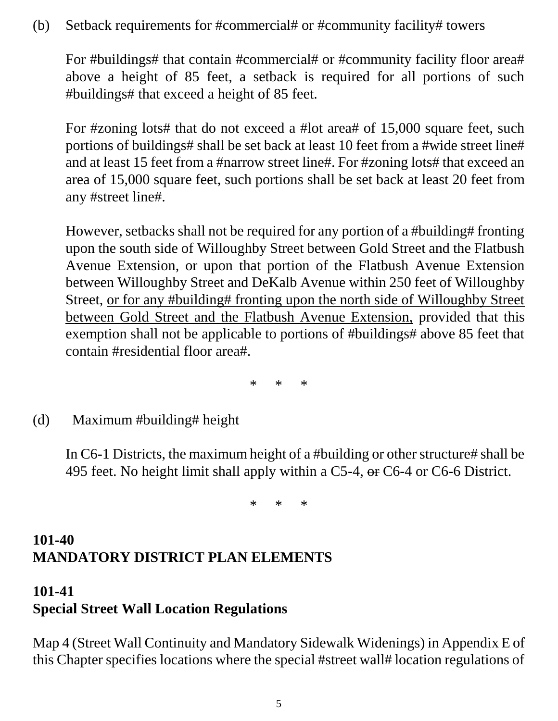(b) Setback requirements for #commercial# or #community facility# towers

For #buildings# that contain #commercial# or #community facility floor area# above a height of 85 feet, a setback is required for all portions of such #buildings# that exceed a height of 85 feet.

For #zoning lots# that do not exceed a #lot area# of 15,000 square feet, such portions of buildings# shall be set back at least 10 feet from a #wide street line# and at least 15 feet from a #narrow street line#. For #zoning lots# that exceed an area of 15,000 square feet, such portions shall be set back at least 20 feet from any #street line#.

However, setbacks shall not be required for any portion of a #building# fronting upon the south side of Willoughby Street between Gold Street and the Flatbush Avenue Extension, or upon that portion of the Flatbush Avenue Extension between Willoughby Street and DeKalb Avenue within 250 feet of Willoughby Street, or for any #building# fronting upon the north side of Willoughby Street between Gold Street and the Flatbush Avenue Extension, provided that this exemption shall not be applicable to portions of #buildings# above 85 feet that contain #residential floor area#.

\* \* \*

(d) Maximum #building# height

In C6-1 Districts, the maximum height of a #building or other structure# shall be 495 feet. No height limit shall apply within a C5-4, or C6-4 or C6-6 District.

\* \* \*

# **101-40 MANDATORY DISTRICT PLAN ELEMENTS**

# **101-41 Special Street Wall Location Regulations**

Map 4 (Street Wall Continuity and Mandatory Sidewalk Widenings) in Appendix E of this Chapter specifies locations where the special #street wall# location regulations of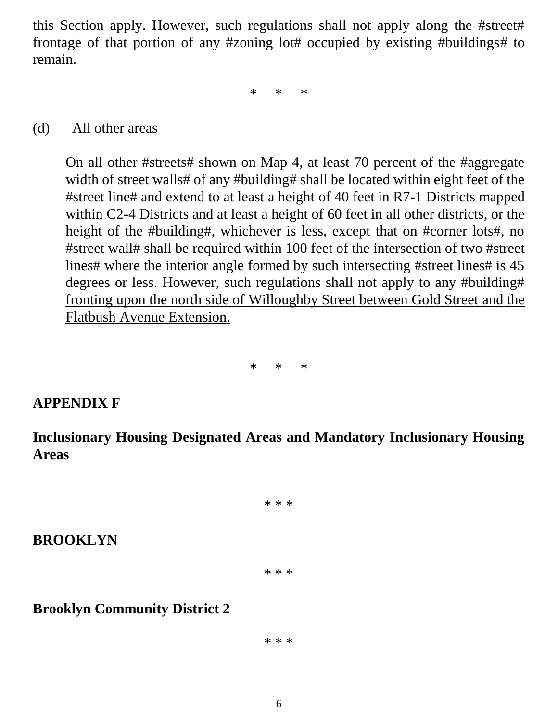this Section apply. However, such regulations shall not apply along the #street# frontage of that portion of any #zoning lot# occupied by existing #buildings# to remain.

\* \* \*

### (d) All other areas

On all other #streets# shown on Map 4, at least 70 percent of the #aggregate width of street walls# of any #building# shall be located within eight feet of the #street line# and extend to at least a height of 40 feet in R7-1 Districts mapped within C2-4 Districts and at least a height of 60 feet in all other districts, or the height of the #building#, whichever is less, except that on #corner lots#, no #street wall# shall be required within 100 feet of the intersection of two #street lines# where the interior angle formed by such intersecting #street lines# is 45 degrees or less. However, such regulations shall not apply to any #building# fronting upon the north side of Willoughby Street between Gold Street and the Flatbush Avenue Extension.

\* \* \*

### **APPENDIX F**

**Inclusionary Housing Designated Areas and Mandatory Inclusionary Housing Areas** 

\* \* \*

### **BROOKLYN**

### \* \* \*

### **Brooklyn Community District 2**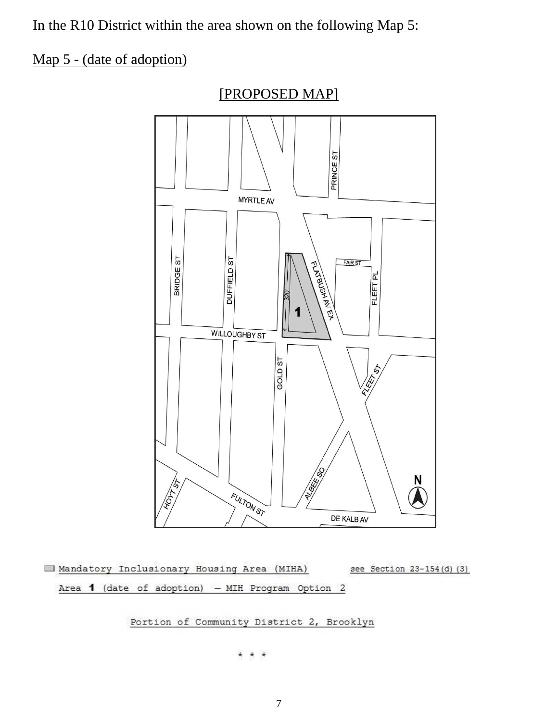### Map 5 - (date of adoption)



[PROPOSED MAP]

Mandatory Inclusionary Housing Area (MIHA) see Section 23-154(d) (3) Area 1 (date of adoption) - MIH Program Option 2

Portion of Community District 2, Brooklyn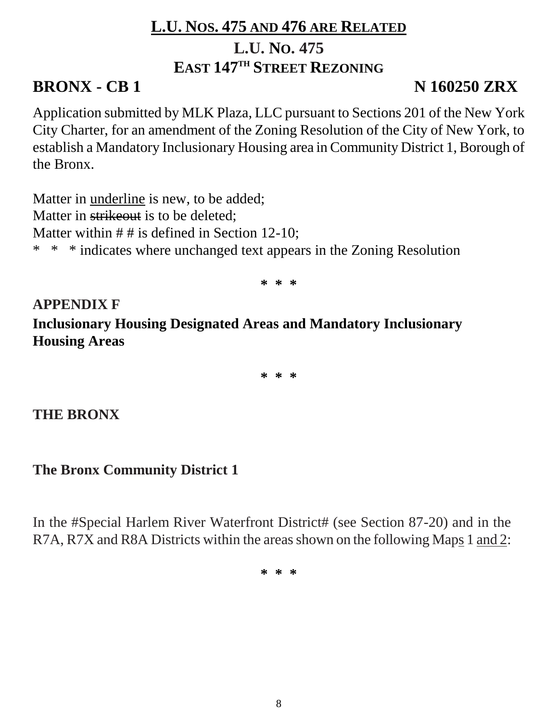# **L.U. NOS. 475 AND 476 ARE RELATED L.U. NO. 475 EAST 147TH STREET REZONING**

# **BRONX - CB 1** N 160250 ZRX

Application submitted by MLK Plaza, LLC pursuant to Sections 201 of the New York City Charter, for an amendment of the Zoning Resolution of the City of New York, to establish a Mandatory Inclusionary Housing area in Community District 1, Borough of the Bronx.

Matter in underline is new, to be added; Matter in strikeout is to be deleted; Matter within  $# #$  is defined in Section 12-10; \* \* \* indicates where unchanged text appears in the Zoning Resolution

**\* \* \***

**APPENDIX F Inclusionary Housing Designated Areas and Mandatory Inclusionary Housing Areas**

**\* \* \***

# **THE BRONX**

# **The Bronx Community District 1**

In the #Special Harlem River Waterfront District# (see Section 87-20) and in the R7A, R7X and R8A Districts within the areas shown on the following Maps 1 and 2: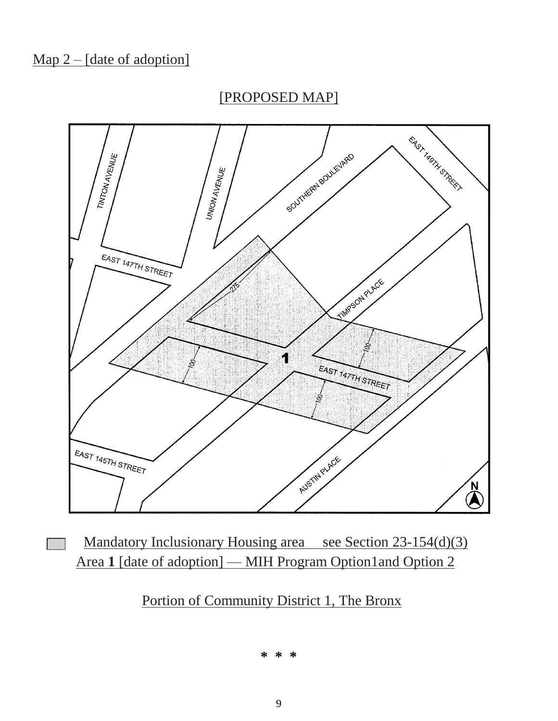### Map 2 – [date of adoption]

### [PROPOSED MAP]



Mandatory Inclusionary Housing area see Section 23-154(d)(3) Area **1** [date of adoption] — MIH Program Option1and Option 2

Portion of Community District 1, The Bronx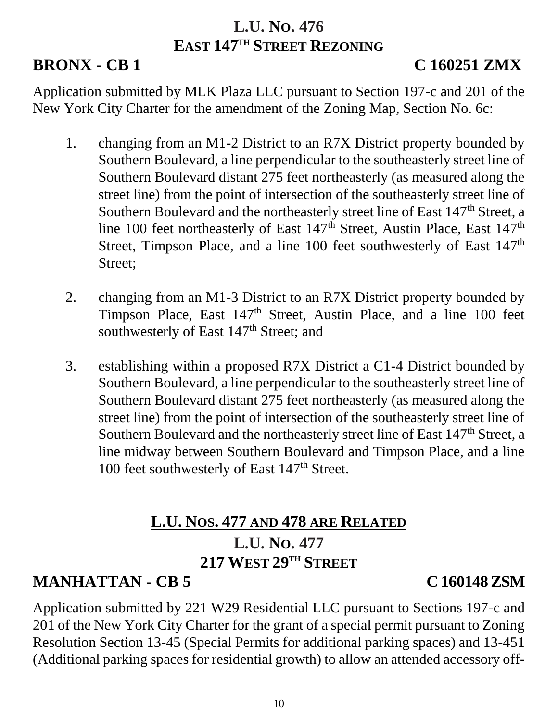# **L.U. NO. 476 EAST 147TH STREET REZONING**

# **BRONX - CB 1 C 160251 ZMX**

Application submitted by MLK Plaza LLC pursuant to Section 197-c and 201 of the New York City Charter for the amendment of the Zoning Map, Section No. 6c:

- 1. changing from an M1-2 District to an R7X District property bounded by Southern Boulevard, a line perpendicular to the southeasterly street line of Southern Boulevard distant 275 feet northeasterly (as measured along the street line) from the point of intersection of the southeasterly street line of Southern Boulevard and the northeasterly street line of East 147<sup>th</sup> Street, a line 100 feet northeasterly of East 147<sup>th</sup> Street, Austin Place, East 147<sup>th</sup> Street, Timpson Place, and a line 100 feet southwesterly of East 147<sup>th</sup> Street;
- 2. changing from an M1-3 District to an R7X District property bounded by Timpson Place, East  $147<sup>th</sup>$  Street, Austin Place, and a line 100 feet southwesterly of East 147<sup>th</sup> Street; and
- 3. establishing within a proposed R7X District a C1-4 District bounded by Southern Boulevard, a line perpendicular to the southeasterly street line of Southern Boulevard distant 275 feet northeasterly (as measured along the street line) from the point of intersection of the southeasterly street line of Southern Boulevard and the northeasterly street line of East 147<sup>th</sup> Street, a line midway between Southern Boulevard and Timpson Place, and a line 100 feet southwesterly of East 147<sup>th</sup> Street.

# **L.U. NOS. 477 AND 478 ARE RELATED L.U. NO. 477 217 WEST 29TH STREET**

# **MANHATTAN - CB 5 C 160148 ZSM**

Application submitted by 221 W29 Residential LLC pursuant to Sections 197-c and 201 of the New York City Charter for the grant of a special permit pursuant to Zoning Resolution Section 13-45 (Special Permits for additional parking spaces) and 13-451 (Additional parking spaces for residential growth) to allow an attended accessory off-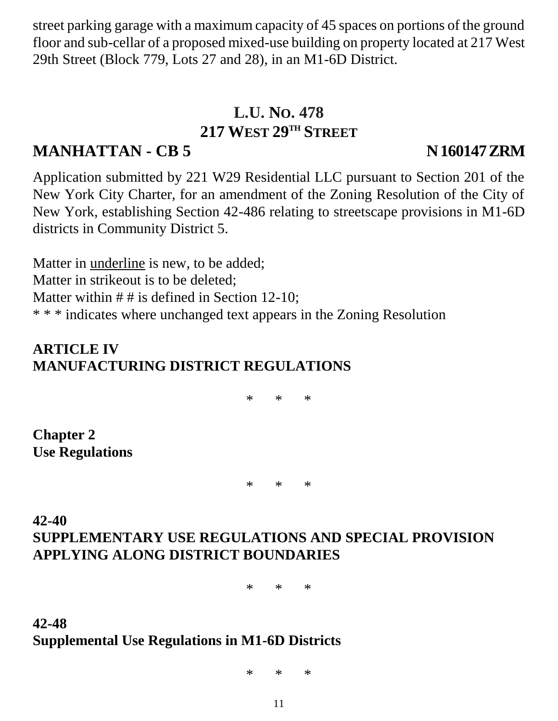street parking garage with a maximum capacity of 45 spaces on portions of the ground floor and sub-cellar of a proposed mixed-use building on property located at 217 West 29th Street (Block 779, Lots 27 and 28), in an M1-6D District.

# **L.U. NO. 478 217 WEST 29TH STREET**

# **MANHATTAN - CB 5 N 160147 ZRM**

Application submitted by 221 W29 Residential LLC pursuant to Section 201 of the New York City Charter, for an amendment of the Zoning Resolution of the City of New York, establishing Section 42-486 relating to streetscape provisions in M1-6D districts in Community District 5.

Matter in underline is new, to be added; Matter in strikeout is to be deleted; Matter within  $# #$  is defined in Section 12-10; \* \* \* indicates where unchanged text appears in the Zoning Resolution

# **ARTICLE IV MANUFACTURING DISTRICT REGULATIONS**

\* \* \*

**Chapter 2 Use Regulations**

\* \* \*

## **42-40 SUPPLEMENTARY USE REGULATIONS AND SPECIAL PROVISION APPLYING ALONG DISTRICT BOUNDARIES**

\* \* \*

### **42-48 Supplemental Use Regulations in M1-6D Districts**

\* \* \*

11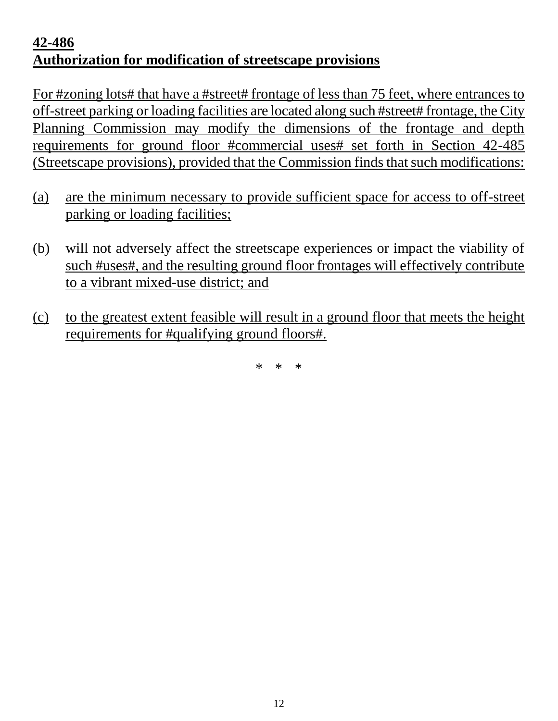# **42-486 Authorization for modification of streetscape provisions**

For #zoning lots# that have a #street# frontage of less than 75 feet, where entrances to off-street parking or loading facilities are located along such #street# frontage, the City Planning Commission may modify the dimensions of the frontage and depth requirements for ground floor #commercial uses# set forth in Section 42-485 (Streetscape provisions), provided that the Commission finds that such modifications:

- (a) are the minimum necessary to provide sufficient space for access to off-street parking or loading facilities;
- (b) will not adversely affect the streetscape experiences or impact the viability of such #uses#, and the resulting ground floor frontages will effectively contribute to a vibrant mixed-use district; and
- (c) to the greatest extent feasible will result in a ground floor that meets the height requirements for #qualifying ground floors#.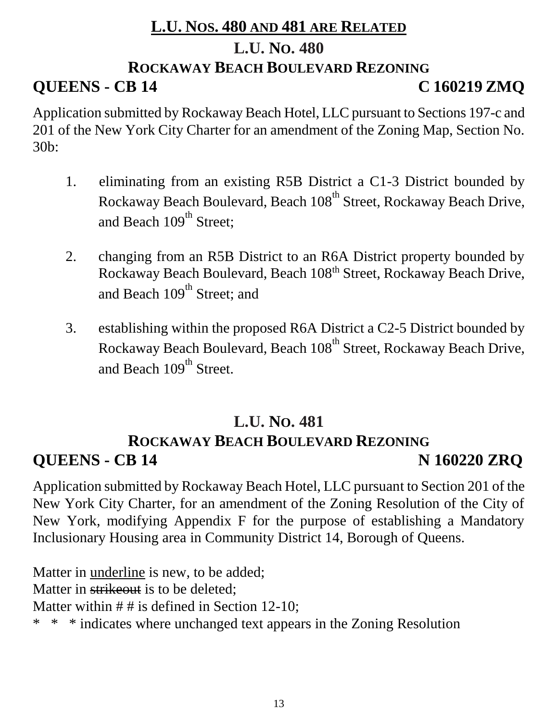# **L.U. NOS. 480 AND 481 ARE RELATED L.U. NO. 480 ROCKAWAY BEACH BOULEVARD REZONING QUEENS - CB 14 C 160219 ZMQ**

Application submitted by Rockaway Beach Hotel, LLC pursuant to Sections 197-c and 201 of the New York City Charter for an amendment of the Zoning Map, Section No. 30b:

- 1. eliminating from an existing R5B District a C1-3 District bounded by Rockaway Beach Boulevard, Beach 108<sup>th</sup> Street, Rockaway Beach Drive, and Beach  $109<sup>th</sup>$  Street:
- 2. changing from an R5B District to an R6A District property bounded by Rockaway Beach Boulevard, Beach 108<sup>th</sup> Street, Rockaway Beach Drive, and Beach  $109<sup>th</sup>$  Street; and
- 3. establishing within the proposed R6A District a C2-5 District bounded by Rockaway Beach Boulevard, Beach 108<sup>th</sup> Street, Rockaway Beach Drive, and Beach 109<sup>th</sup> Street.

# **L.U. NO. 481**

# **ROCKAWAY BEACH BOULEVARD REZONING QUEENS - CB 14 N 160220 ZRQ**

Application submitted by Rockaway Beach Hotel, LLC pursuant to Section 201 of the New York City Charter, for an amendment of the Zoning Resolution of the City of New York, modifying Appendix F for the purpose of establishing a Mandatory Inclusionary Housing area in Community District 14, Borough of Queens.

Matter in underline is new, to be added; Matter in strikeout is to be deleted; Matter within  $# #$  is defined in Section 12-10; \* \* \* indicates where unchanged text appears in the Zoning Resolution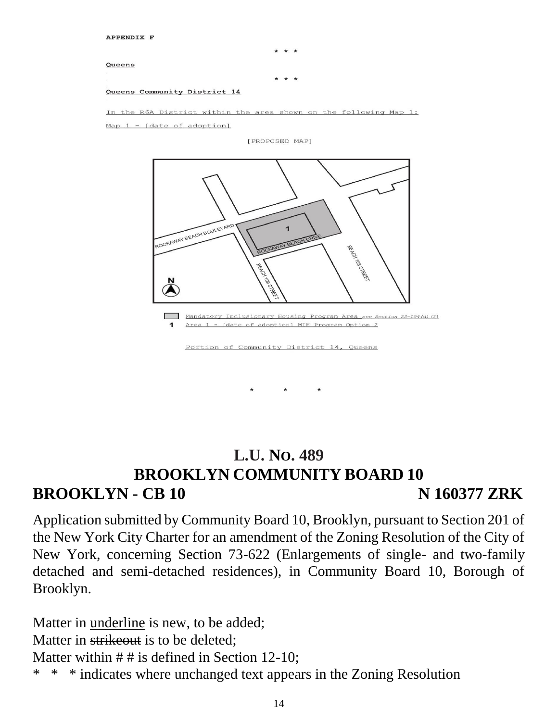### **APPENDIX F**

### Queens

Queens Community District 14

In the R6A District within the area shown on the following Map 1:

Map  $1 -$  [date of adoption]

[PROPOSED MAP]



Portion of Community District 14, Queens

# **L.U. NO. 489 BROOKLYN COMMUNITY BOARD 10 BROOKLYN - CB 10** N 160377 ZRK

Application submitted by Community Board 10, Brooklyn, pursuant to Section 201 of the New York City Charter for an amendment of the Zoning Resolution of the City of New York, concerning Section 73-622 (Enlargements of single- and two-family detached and semi-detached residences), in Community Board 10, Borough of Brooklyn.

Matter in underline is new, to be added; Matter in strikeout is to be deleted; Matter within  $# #$  is defined in Section 12-10; \* \* \* indicates where unchanged text appears in the Zoning Resolution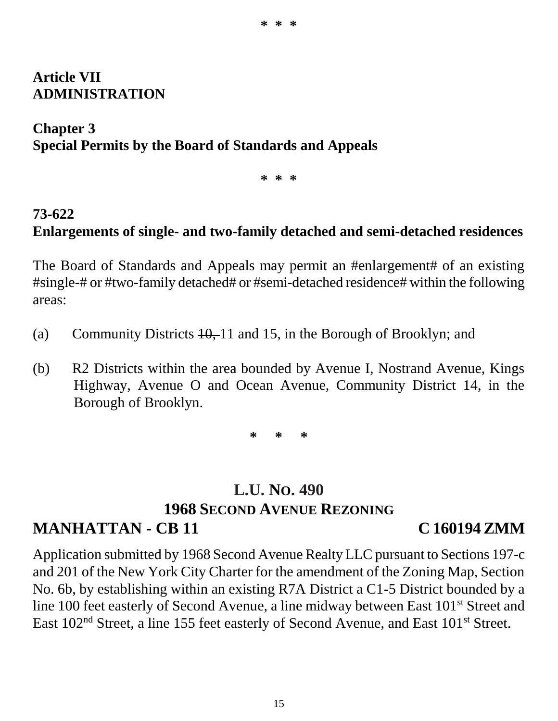### **Article VII ADMINISTRATION**

# **Chapter 3 Special Permits by the Board of Standards and Appeals**

**\* \* \***

# **73-622 Enlargements of single- and two-family detached and semi-detached residences**

The Board of Standards and Appeals may permit an #enlargement# of an existing #single-# or #two-family detached# or #semi-detached residence# within the following areas:

- (a) Community Districts  $10, 11$  and 15, in the Borough of Brooklyn; and
- (b) R2 Districts within the area bounded by Avenue I, Nostrand Avenue, Kings Highway, Avenue O and Ocean Avenue, Community District 14, in the Borough of Brooklyn.

**\* \* \***

# **L.U. NO. 490 1968 SECOND AVENUE REZONING MANHATTAN - CB 11 C 160194 ZMM**

Application submitted by 1968 Second Avenue Realty LLC pursuant to Sections 197-c and 201 of the New York City Charter for the amendment of the Zoning Map, Section No. 6b, by establishing within an existing R7A District a C1-5 District bounded by a line 100 feet easterly of Second Avenue, a line midway between East 101<sup>st</sup> Street and East 102<sup>nd</sup> Street, a line 155 feet easterly of Second Avenue, and East 101<sup>st</sup> Street.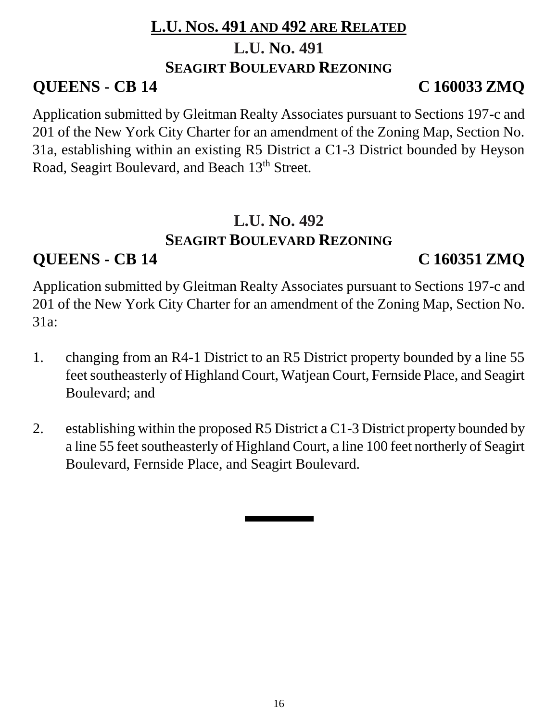# **L.U. NOS. 491 AND 492 ARE RELATED L.U. NO. 491 SEAGIRT BOULEVARD REZONING**

# **QUEENS - CB 14 C 160033 ZMQ**

Application submitted by Gleitman Realty Associates pursuant to Sections 197-c and 201 of the New York City Charter for an amendment of the Zoning Map, Section No. 31a, establishing within an existing R5 District a C1-3 District bounded by Heyson Road, Seagirt Boulevard, and Beach 13<sup>th</sup> Street.

# **L.U. NO. 492 SEAGIRT BOULEVARD REZONING**

# **QUEENS - CB 14 C 160351 ZMQ**

Application submitted by Gleitman Realty Associates pursuant to Sections 197-c and 201 of the New York City Charter for an amendment of the Zoning Map, Section No. 31a:

- 1. changing from an R4-1 District to an R5 District property bounded by a line 55 feet southeasterly of Highland Court, Watjean Court, Fernside Place, and Seagirt Boulevard; and
- 2. establishing within the proposed R5 District a C1-3 District property bounded by a line 55 feet southeasterly of Highland Court, a line 100 feet northerly of Seagirt Boulevard, Fernside Place, and Seagirt Boulevard.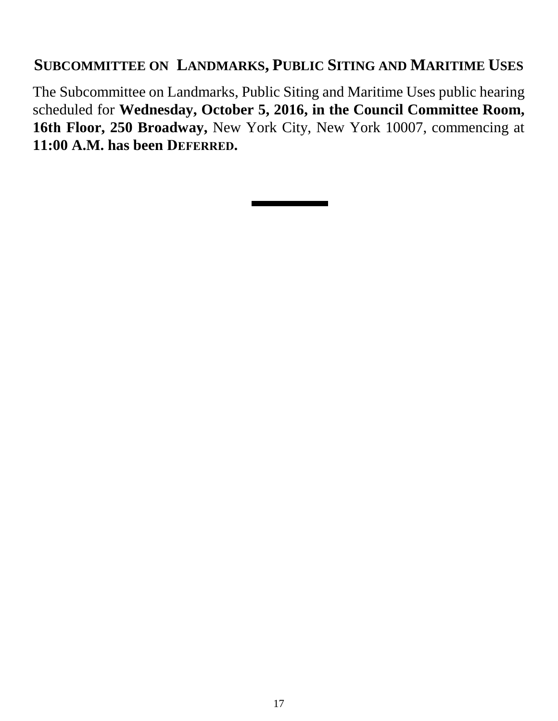### **SUBCOMMITTEE ON LANDMARKS, PUBLIC SITING AND MARITIME USES**

The Subcommittee on Landmarks, Public Siting and Maritime Uses public hearing scheduled for **Wednesday, October 5, 2016, in the Council Committee Room, 16th Floor, 250 Broadway,** New York City, New York 10007, commencing at **11:00 A.M. has been DEFERRED.**